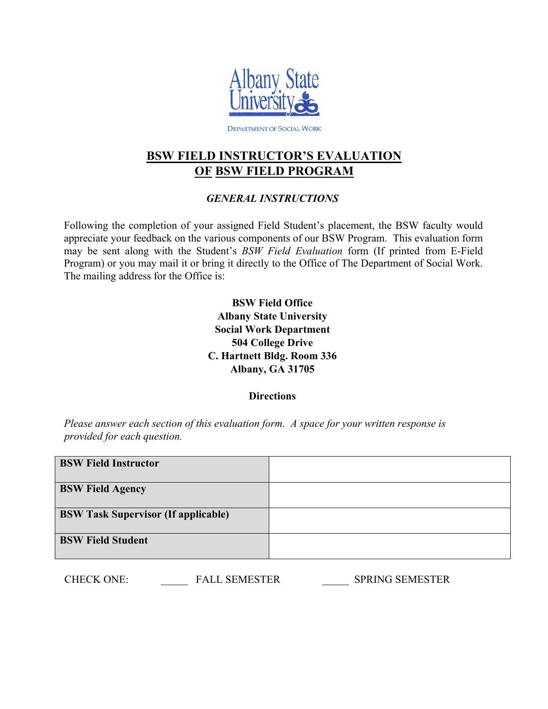

DEPARTMENT OF SOCIAL WORK

# **BSW FIELD INSTRUCTOR'S EVALUATION OF BSW FIELD PROGRAM**

### *GENERAL INSTRUCTIONS*

Following the completion of your assigned Field Student's placement, the BSW faculty would appreciate your feedback on the various components of our BSW Program. This evaluation form may be sent along with the Student's *BSW Field Evaluation* form (If printed from E-Field Program) or you may mail it or bring it directly to the Office of The Department of Social Work. The mailing address for the Office is:

> **BSW Field Office Albany State University Social Work Department 504 College Drive C. Hartnett Bldg. Room 336 Albany, GA 31705**

> > **Directions**

*Please answer each section of this evaluation form. A space for your written response is provided for each question.* 

| <b>BSW Field Instructor</b>                |  |
|--------------------------------------------|--|
| <b>BSW Field Agency</b>                    |  |
| <b>BSW Task Supervisor (If applicable)</b> |  |
| <b>BSW Field Student</b>                   |  |

| <b>CHECK ONE:</b> | <b>FALL SEMESTER</b> | <b>SPRING SEMESTER</b> |
|-------------------|----------------------|------------------------|
|                   |                      |                        |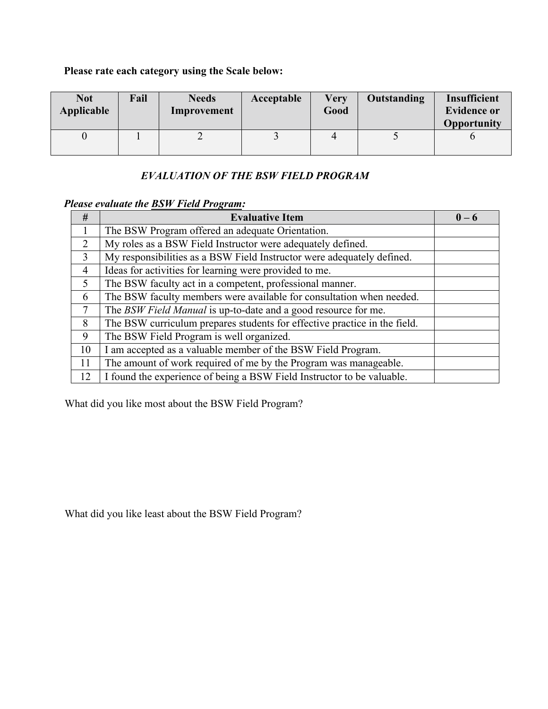# **Please rate each category using the Scale below:**

| <b>Not</b><br>Applicable | Fail | <b>Needs</b><br>Improvement | Acceptable | <b>Very</b><br>Good | Outstanding | Insufficient<br><b>Evidence or</b><br>Opportunity |
|--------------------------|------|-----------------------------|------------|---------------------|-------------|---------------------------------------------------|
|                          |      | ∽                           |            |                     |             |                                                   |

### *EVALUATION OF THE BSW FIELD PROGRAM*

# *Please evaluate the BSW Field Program:*

| #             | <b>Evaluative Item</b>                                                    | $0 - 6$ |
|---------------|---------------------------------------------------------------------------|---------|
|               | The BSW Program offered an adequate Orientation.                          |         |
| $\mathcal{D}$ | My roles as a BSW Field Instructor were adequately defined.               |         |
| 3             | My responsibilities as a BSW Field Instructor were adequately defined.    |         |
| 4             | Ideas for activities for learning were provided to me.                    |         |
| 5             | The BSW faculty act in a competent, professional manner.                  |         |
| 6             | The BSW faculty members were available for consultation when needed.      |         |
| 7             | The BSW Field Manual is up-to-date and a good resource for me.            |         |
| 8             | The BSW curriculum prepares students for effective practice in the field. |         |
| 9             | The BSW Field Program is well organized.                                  |         |
| 10            | I am accepted as a valuable member of the BSW Field Program.              |         |
| 11            | The amount of work required of me by the Program was manageable.          |         |
| 12            | I found the experience of being a BSW Field Instructor to be valuable.    |         |

What did you like most about the BSW Field Program?

What did you like least about the BSW Field Program?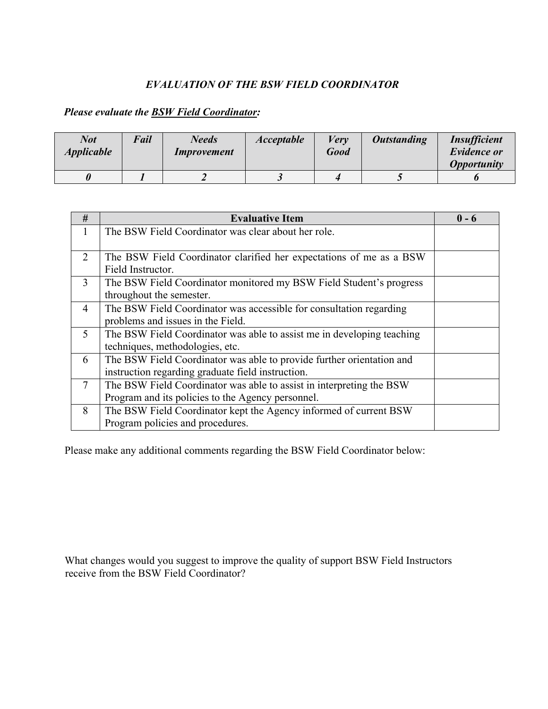### *EVALUATION OF THE BSW FIELD COORDINATOR*

### *Please evaluate the BSW Field Coordinator:*

| <b>Not</b><br><i><b>Applicable</b></i> | Fail | <b>Needs</b><br><i>Improvement</i> | <b>Acceptable</b> | Verv<br><b>Good</b> | <b>Outstanding</b> | <b>Insufficient</b><br><b>Evidence or</b><br><i><b>Opportunity</b></i> |
|----------------------------------------|------|------------------------------------|-------------------|---------------------|--------------------|------------------------------------------------------------------------|
|                                        |      |                                    |                   |                     |                    |                                                                        |

| #              | <b>Evaluative Item</b>                                                 | $0 - 6$ |
|----------------|------------------------------------------------------------------------|---------|
| 1              | The BSW Field Coordinator was clear about her role.                    |         |
|                |                                                                        |         |
| 2              | The BSW Field Coordinator clarified her expectations of me as a BSW    |         |
|                | Field Instructor.                                                      |         |
| 3              | The BSW Field Coordinator monitored my BSW Field Student's progress    |         |
|                | throughout the semester.                                               |         |
| $\overline{4}$ | The BSW Field Coordinator was accessible for consultation regarding    |         |
|                | problems and issues in the Field.                                      |         |
| 5              | The BSW Field Coordinator was able to assist me in developing teaching |         |
|                | techniques, methodologies, etc.                                        |         |
| 6              | The BSW Field Coordinator was able to provide further orientation and  |         |
|                | instruction regarding graduate field instruction.                      |         |
| $\overline{7}$ | The BSW Field Coordinator was able to assist in interpreting the BSW   |         |
|                | Program and its policies to the Agency personnel.                      |         |
| 8              | The BSW Field Coordinator kept the Agency informed of current BSW      |         |
|                | Program policies and procedures.                                       |         |

Please make any additional comments regarding the BSW Field Coordinator below:

What changes would you suggest to improve the quality of support BSW Field Instructors receive from the BSW Field Coordinator?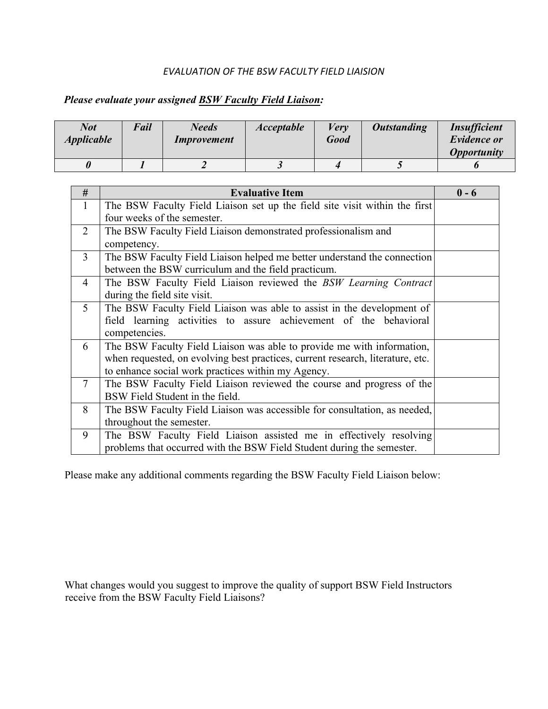#### *EVALUATION OF THE BSW FACULTY FIELD LIAISION*

# *Please evaluate your assigned BSW Faculty Field Liaison:*

| <b>Not</b><br><i><b>Applicable</b></i> | Fail | <b>Needs</b><br><i>Improvement</i> | <b>Acceptable</b> | Verv<br>Good | <b>Outstanding</b> | <i><b>Insufficient</b></i><br><b>Evidence or</b><br><i><b>Opportunity</b></i> |
|----------------------------------------|------|------------------------------------|-------------------|--------------|--------------------|-------------------------------------------------------------------------------|
|                                        |      |                                    |                   |              |                    |                                                                               |

| #              | <b>Evaluative Item</b>                                                         | $0 - 6$ |
|----------------|--------------------------------------------------------------------------------|---------|
| $\mathbf{1}$   | The BSW Faculty Field Liaison set up the field site visit within the first     |         |
|                | four weeks of the semester.                                                    |         |
| 2              | The BSW Faculty Field Liaison demonstrated professionalism and                 |         |
|                | competency.                                                                    |         |
| 3              | The BSW Faculty Field Liaison helped me better understand the connection       |         |
|                | between the BSW curriculum and the field practicum.                            |         |
| $\overline{4}$ | The BSW Faculty Field Liaison reviewed the BSW Learning Contract               |         |
|                | during the field site visit.                                                   |         |
| 5 <sup>5</sup> | The BSW Faculty Field Liaison was able to assist in the development of         |         |
|                | field learning activities to assure achievement of the behavioral              |         |
|                | competencies.                                                                  |         |
| 6              | The BSW Faculty Field Liaison was able to provide me with information,         |         |
|                | when requested, on evolving best practices, current research, literature, etc. |         |
|                | to enhance social work practices within my Agency.                             |         |
| $\tau$         | The BSW Faculty Field Liaison reviewed the course and progress of the          |         |
|                | BSW Field Student in the field.                                                |         |
| 8              | The BSW Faculty Field Liaison was accessible for consultation, as needed,      |         |
|                | throughout the semester.                                                       |         |
| 9              | The BSW Faculty Field Liaison assisted me in effectively resolving             |         |
|                | problems that occurred with the BSW Field Student during the semester.         |         |

Please make any additional comments regarding the BSW Faculty Field Liaison below:

What changes would you suggest to improve the quality of support BSW Field Instructors receive from the BSW Faculty Field Liaisons?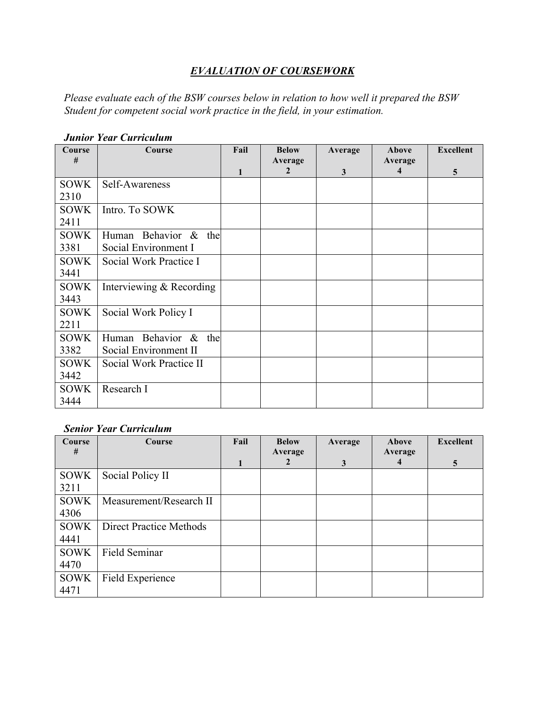### *EVALUATION OF COURSEWORK*

*Please evaluate each of the BSW courses below in relation to how well it prepared the BSW Student for competent social work practice in the field, in your estimation.*

| Course<br># | Course                   | Fail | <b>Below</b><br>Average | Average      | Above<br>Average        | <b>Excellent</b> |
|-------------|--------------------------|------|-------------------------|--------------|-------------------------|------------------|
|             |                          | 1    | 2                       | $\mathbf{3}$ | $\overline{\mathbf{4}}$ | $\overline{5}$   |
| <b>SOWK</b> | Self-Awareness           |      |                         |              |                         |                  |
| 2310        |                          |      |                         |              |                         |                  |
| <b>SOWK</b> | Intro. To SOWK           |      |                         |              |                         |                  |
| 2411        |                          |      |                         |              |                         |                  |
| <b>SOWK</b> | Human Behavior & the     |      |                         |              |                         |                  |
| 3381        | Social Environment I     |      |                         |              |                         |                  |
| <b>SOWK</b> | Social Work Practice I   |      |                         |              |                         |                  |
| 3441        |                          |      |                         |              |                         |                  |
| <b>SOWK</b> | Interviewing & Recording |      |                         |              |                         |                  |
| 3443        |                          |      |                         |              |                         |                  |
| <b>SOWK</b> | Social Work Policy I     |      |                         |              |                         |                  |
| 2211        |                          |      |                         |              |                         |                  |
| <b>SOWK</b> | Human Behavior & the     |      |                         |              |                         |                  |
| 3382        | Social Environment II    |      |                         |              |                         |                  |
| <b>SOWK</b> | Social Work Practice II  |      |                         |              |                         |                  |
| 3442        |                          |      |                         |              |                         |                  |
| <b>SOWK</b> | Research I               |      |                         |              |                         |                  |
| 3444        |                          |      |                         |              |                         |                  |

#### *Junior Year Curriculum*

#### *Senior Year Curriculum*

| Course<br># | Course                         | Fail | <b>Below</b><br>Average | Average | Above<br>Average | <b>Excellent</b> |
|-------------|--------------------------------|------|-------------------------|---------|------------------|------------------|
|             |                                |      | 2                       | 3       | 4                | 5                |
| <b>SOWK</b> | Social Policy II               |      |                         |         |                  |                  |
| 3211        |                                |      |                         |         |                  |                  |
| <b>SOWK</b> | Measurement/Research II        |      |                         |         |                  |                  |
| 4306        |                                |      |                         |         |                  |                  |
| <b>SOWK</b> | <b>Direct Practice Methods</b> |      |                         |         |                  |                  |
| 4441        |                                |      |                         |         |                  |                  |
| <b>SOWK</b> | Field Seminar                  |      |                         |         |                  |                  |
| 4470        |                                |      |                         |         |                  |                  |
| SOWK        | Field Experience               |      |                         |         |                  |                  |
| 4471        |                                |      |                         |         |                  |                  |